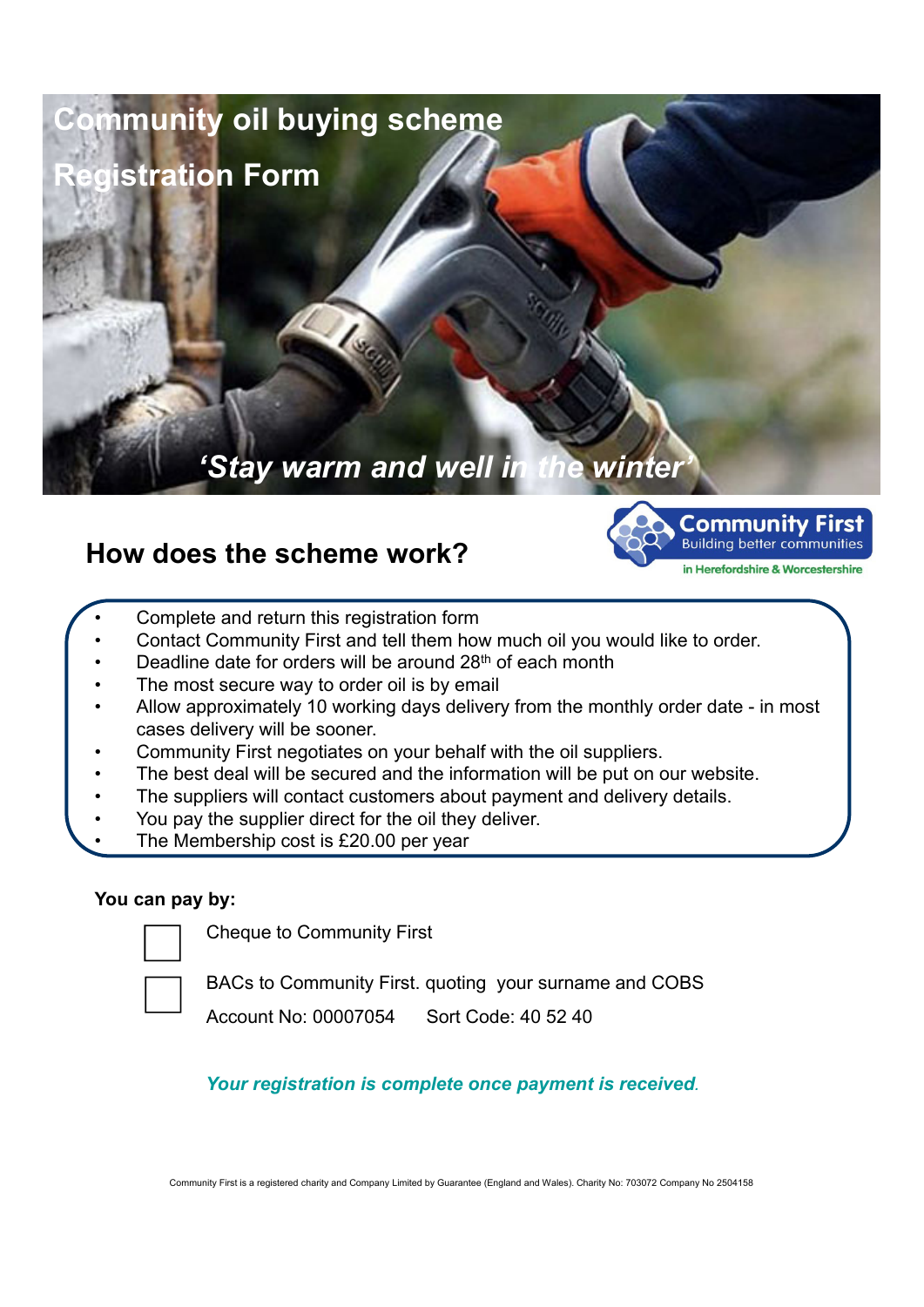

# **How does the scheme work?**



- Complete and return this registration form
- Contact Community First and tell them how much oil you would like to order.
- Deadline date for orders will be around 28th of each month
- The most secure way to order oil is by email
- Allow approximately 10 working days delivery from the monthly order date in most cases delivery will be sooner.
- Community First negotiates on your behalf with the oil suppliers.
- The best deal will be secured and the information will be put on our website.
- The suppliers will contact customers about payment and delivery details.
- You pay the supplier direct for the oil they deliver.
- The Membership cost is £20.00 per year

## **You can pay by:**

Cheque to Community First

BACs to Community First. quoting your surname and COBS

Account No: 00007054 Sort Code: 40 52 40

*Your registration is complete once payment is received.*